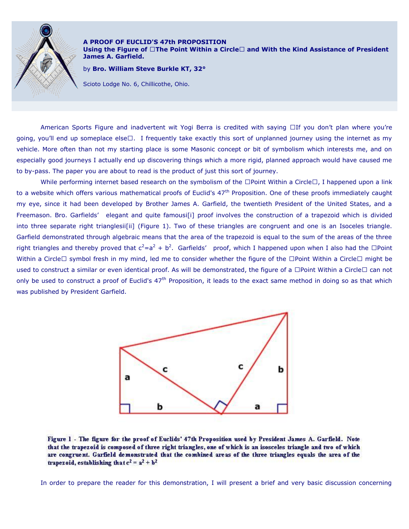

**A PROOF OF EUCLID'S 47th PROPOSITION Using the Figure of " The Point Within a Circle" and With the Kind Assistance of President James A. Garfield.** 

by **Bro. William Steve Burkle KT, 32°**

Scioto Lodge No. 6, Chillicothe, Ohio.

American Sports Figure and inadvertent wit Yogi Berra is credited with saying " If you don't plan where you're going, you'll end up someplace else" . I frequently take exactly this sort of unplanned journey using the internet as my vehicle. More often than not my starting place is some Masonic concept or bit of symbolism which interests me, and on especially good journeys I actually end up discovering things which a more rigid, planned approach would have caused me to by-pass. The paper you are about to read is the product of just this sort of journey.

While performing internet based research on the symbolism of the " Point Within a Circle", I happened upon a link to a website which offers various mathematical proofs of Euclid's  $47<sup>th</sup>$  Proposition. One of these proofs immediately caught my eye, since it had been developed by Brother James A. Garfield, the twentieth President of the United States, and a Freemason. Bro. Garfields' elegant and quite famousi[i] proof involves the construction of a trapezoid which is divided into three separate right trianglesii[ii] (Figure 1). Two of these triangles are congruent and one is an Isoceles triangle. Garfield demonstrated through algebraic means that the area of the trapezoid is equal to the sum of the areas of the three right triangles and thereby proved that  $c^2=a^2 + b^2$ . Garfields' proof, which I happened upon when I also had the "Point Within a Circle" symbol fresh in my mind, led me to consider whether the figure of the " Point Within a Circle" might be used to construct a similar or even identical proof. As will be demonstrated, the figure of a " Point Within a Circle" can not only be used to construct a proof of Euclid's  $47<sup>th</sup>$  Proposition, it leads to the exact same method in doing so as that which was published by President Garfield.



Figure 1 - The figure for the proof of Euclids' 47th Proposition used by President James A. Garfield. Note that the trapezoid is composed of three right triangles, one of which is an isosceles triangle and two of which are congruent. Garfield demonstrated that the combined areas of the three triangles equals the area of the trapezoid, establishing that  $c^2 = a^2 + b^2$ 

In order to prepare the reader for this demonstration, I will present a brief and very basic discussion concerning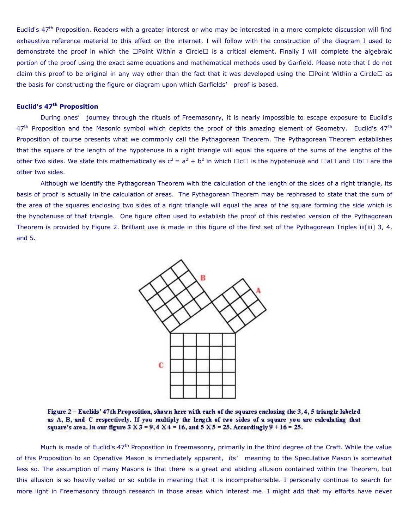Euclid's  $47<sup>th</sup>$  Proposition. Readers with a greater interest or who may be interested in a more complete discussion will find exhaustive reference material to this effect on the internet. I will follow with the construction of the diagram I used to demonstrate the proof in which the " Point Within a Circle" is a critical element. Finally I will complete the algebraic portion of the proof using the exact same equations and mathematical methods used by Garfield. Please note that I do not claim this proof to be original in any way other than the fact that it was developed using the " Point Within a Circle" as the basis for constructing the figure or diagram upon which Garfields' proof is based.

## **Euclid's 47th Proposition**

During ones' journey through the rituals of Freemasonry, it is nearly impossible to escape exposure to Euclid's 47<sup>th</sup> Proposition and the Masonic symbol which depicts the proof of this amazing element of Geometry. Euclid's 47<sup>th</sup> Proposition of course presents what we commonly call the Pythagorean Theorem. The Pythagorean Theorem establishes that the square of the length of the hypotenuse in a right triangle will equal the square of the sums of the lengths of the other two sides. We state this mathematically as  $c^2 = a^2 + b^2$  in which " c" is the hypotenuse and " a" and " b" are the other two sides.

Although we identify the Pythagorean Theorem with the calculation of the length of the sides of a right triangle, its basis of proof is actually in the calculation of areas. The Pythagorean Theorem may be rephrased to state that the sum of the area of the squares enclosing two sides of a right triangle will equal the area of the square forming the side which is the hypotenuse of that triangle. One figure often used to establish the proof of this restated version of the Pythagorean Theorem is provided by Figure 2. Brilliant use is made in this figure of the first set of the Pythagorean Triples iii[iii] 3, 4, and 5.



Figure 2 - Euclids' 47th Proposition, shown here with each of the squares enclosing the 3, 4, 5 triangle labeled as A, B, and C respectively. If you multiply the length of two sides of a square you are calculating that square's area. In our figure  $3 X 3 = 9, 4 X 4 = 16$ , and  $5 X 5 = 25$ . Accordingly  $9 + 16 = 25$ .

Much is made of Euclid's 47<sup>th</sup> Proposition in Freemasonry, primarily in the third degree of the Craft. While the value of this Proposition to an Operative Mason is immediately apparent, its' meaning to the Speculative Mason is somewhat less so. The assumption of many Masons is that there is a great and abiding allusion contained within the Theorem, but this allusion is so heavily veiled or so subtle in meaning that it is incomprehensible. I personally continue to search for more light in Freemasonry through research in those areas which interest me. I might add that my efforts have never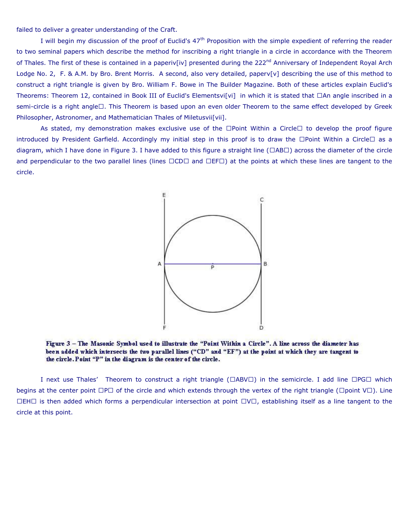failed to deliver a greater understanding of the Craft.

I will begin my discussion of the proof of Euclid's 47<sup>th</sup> Proposition with the simple expedient of referring the reader to two seminal papers which describe the method for inscribing a right triangle in a circle in accordance with the Theorem of Thales. The first of these is contained in a paperiv[iv] presented during the 222<sup>nd</sup> Anniversary of Independent Royal Arch Lodge No. 2, F. & A.M. by Bro. Brent Morris. A second, also very detailed, paperv[v] describing the use of this method to construct a right triangle is given by Bro. William F. Bowe in The Builder Magazine. Both of these articles explain Euclid's Theorems: Theorem 12, contained in Book III of Euclid's Elementsvi[vi] in which it is stated that " An angle inscribed in a semi-circle is a right angle" . This Theorem is based upon an even older Theorem to the same effect developed by Greek Philosopher, Astronomer, and Mathematician Thales of Miletusvii[vii].

As stated, my demonstration makes exclusive use of the " Point Within a Circle" to develop the proof figure introduced by President Garfield. Accordingly my initial step in this proof is to draw the " Point Within a Circle" as a diagram, which I have done in Figure 3. I have added to this figure a straight line (" AB" ) across the diameter of the circle and perpendicular to the two parallel lines (lines " CD" and " EF" ) at the points at which these lines are tangent to the circle.



Figure 3 – The Masonic Symbol used to illustrate the "Point Within a Circle". A line across the diameter has been added which intersects the two parallel lines ("CD" and "EF") at the point at which they are tangent to the circle. Point "P" in the diagram is the center of the circle.

I next use Thales' Theorem to construct a right triangle (" ABV" ) in the semicircle. I add line " PG" which begins at the center point " P" of the circle and which extends through the vertex of the right triangle (" point V"). Line " EH" is then added which forms a perpendicular intersection at point " V" , establishing itself as a line tangent to the circle at this point.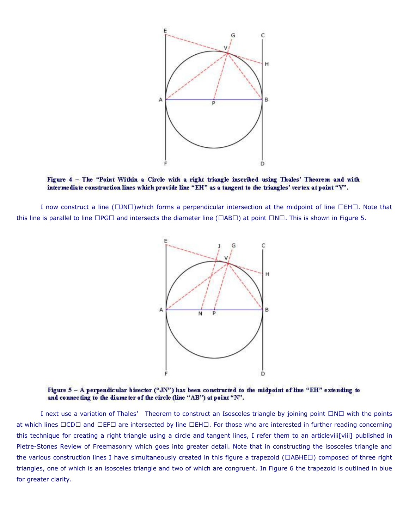

Figure 4 - The "Point Within a Circle with a right triangle inscribed using Thales' Theorem and with intermediate construction lines which provide line "EH" as a tangent to the triangles' vertex at point "V".

I now construct a line (" JN" )which forms a perpendicular intersection at the midpoint of line " EH" . Note that this line is parallel to line " PG" and intersects the diameter line (" AB" ) at point " N" . This is shown in Figure 5.



Figure  $5 - A$  perpendicular bisector ("JN") has been constructed to the midpoint of line "EH" extending to and connecting to the diameter of the circle (line "AB") at point "N".

I next use a variation of Thales' Theorem to construct an Isosceles triangle by joining point " N" with the points at which lines " CD" and " EF" are intersected by line " EH" . For those who are interested in further reading concerning this technique for creating a right triangle using a circle and tangent lines, I refer them to an articleviii[viii] published in Pietre-Stones Review of Freemasonry which goes into greater detail. Note that in constructing the isosceles triangle and the various construction lines I have simultaneously created in this figure a trapezoid (" ABHE" ) composed of three right triangles, one of which is an isosceles triangle and two of which are congruent. In Figure 6 the trapezoid is outlined in blue for greater clarity.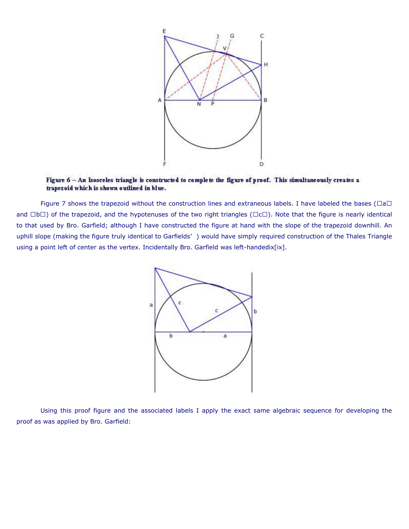

Figure 6 - An Isosceles triangle is constructed to complete the figure of proof. This simultaneously creates a trapezoid which is shown outlined in blue.

Figure 7 shows the trapezoid without the construction lines and extraneous labels. I have labeled the bases ("a" and " b" ) of the trapezoid, and the hypotenuses of the two right triangles (" c" ). Note that the figure is nearly identical to that used by Bro. Garfield; although I have constructed the figure at hand with the slope of the trapezoid downhill. An uphill slope (making the figure truly identical to Garfields' ) would have simply required construction of the Thales Triangle using a point left of center as the vertex. Incidentally Bro. Garfield was left-handedix[ix].



Using this proof figure and the associated labels I apply the exact same algebraic sequence for developing the proof as was applied by Bro. Garfield: